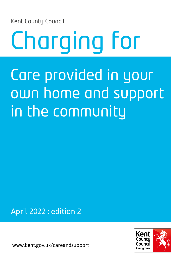Kent County Council

## Charging for Care provided in your own home and support in the community

April 2022 : edition 2

www.kent.gov.uk/careandsupport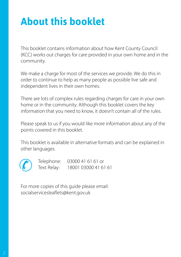## **About this booklet**

This booklet contains information about how Kent County Council (KCC) works out charges for care provided in your own home and in the community.

We make a charge for most of the services we provide. We do this in order to continue to help as many people as possible live safe and independent lives in their own homes.

There are lots of complex rules regarding charges for care in your own home or in the community. Although this booklet covers the key information that you need to know, it doesn't contain all of the rules.

Please speak to us if you would like more information about any of the points covered in this booklet.

This booklet is available in alternative formats and can be explained in other languages.



Telephone: 03000 41 61 61 or Text Relay: 18001 03000 41 61 61

For more copies of this guide please email: socialservicesleaflets@kent.gov.uk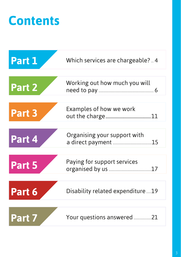## **Contents**

| Part 1 | Which services are chargeable? 4   |
|--------|------------------------------------|
| Part 2 | Working out how much you will      |
| Part 3 | Examples of how we work            |
| Part 4 | Organising your support with<br>15 |
| Part 5 | Paying for support services<br>17  |
| Part 6 | Disability related expenditure19   |
| Part 7 | Your questions answered<br>21      |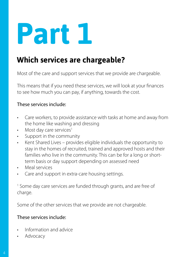### **Which services are chargeable?**

Most of the care and support services that we provide are chargeable.

This means that if you need these services, we will look at your finances to see how much you can pay, if anything, towards the cost.

#### These services include:

- Care workers, to provide assistance with tasks at home and away from the home like washing and dressing
- Most day care services<sup>1</sup>
- Support in the community
- Kent Shared Lives provides eligible individuals the opportunity to stay in the homes of recruited, trained and approved hosts and their families who live in the community. This can be for a long or shortterm basis or day support depending on assessed need
- Meal services
- Care and support in extra-care housing settings.

<sup>1</sup> Some day care services are funded through grants, and are free of charge.

Some of the other services that we provide are not chargeable.

#### These services include:

- Information and advice
- **Advocacy**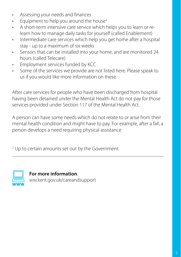- Assessing your needs and finances
- Equipment to help you around the house<sup>2</sup>
- A short-term intensive care service which helps you to learn or relearn how to manage daily tasks for yourself (called Enablement)
- Intermediate care services which help you get home after a hospital stay - up to a maximum of six weeks
- Sensors that can be installed into your home, and are monitored 24 hours (called Telecare)
- Employment services funded by KCC
- Some of the services we provide are not listed here. Please speak to us if you would like more information on these.

After care services for people who have been discharged from hospital having been detained under the Mental Health Act do not pay for those services provided under Section 117 of the Mental Health Act.

A person can have some needs which do not relate to or arise from their mental health condition and might have to pay. For example, after a fall, a person develops a need requiring physical assistance

<sup>2</sup> Up to certain amounts set out by the Government.



**For more information**: ww.kent.gov.uk/careandsupport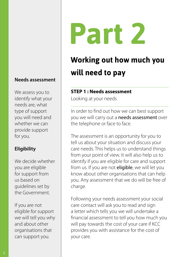#### **Needs assessment**

We assess you to identify what your needs are, what type of support you will need and whether we can provide support for you.

#### **Eligibility**

We decide whether you are eligible for support from us based on guidelines set by the Government.

If you are not eligible for support we will tell you why and about other organisations that can support you.

# **Part 2**

## **Working out how much you will need to pay**

#### **STEP 1 : Needs assessment**

Looking at your needs

In order to find out how we can best support you we will carry out a needs assessment over the telephone or face to face.

The assessment is an opportunity for you to tell us about your situation and discuss your care needs. This helps us to understand things from your point of view. It will also help us to identify if you are eligible for care and support from us. If you are not **eligible**, we will let you know about other organisations that can help you. Any assessment that we do will be free of charge.

Following your needs assessment your social care contact will ask you to read and sign a letter which tells you we will undertake a financial assessment to tell you how much you will pay towards the cost of your care if KCC provides you with assistance for the cost of your care.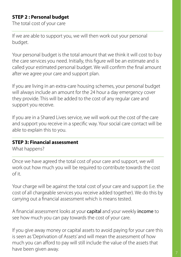#### **STEP 2 : Personal budget**

The total cost of your care

If we are able to support you, we will then work out your personal budget.

Your personal budget is the total amount that we think it will cost to buy the care services you need. Initially, this figure will be an estimate and is called your estimated personal budget. We will confirm the final amount after we agree your care and support plan.

If you are living in an extra-care housing schemes, your personal budget will always include an amount for the 24 hour a day emergency cover they provide. This will be added to the cost of any regular care and support you receive.

If you are in a Shared Lives service, we will work out the cost of the care and support you receive in a specific way. Your social care contact will be able to explain this to you.

#### **STEP 3: Financial assessment**

What happens?

Once we have agreed the total cost of your care and support, we will work out how much you will be required to contribute towards the cost  $\bigcap$  it.

Your charge will be against the total cost of your care and support (i.e. the cost of all chargeable services you receive added together). We do this by carrying out a financial assessment which is means tested.

A financial assessment looks at your capital and your weekly income to see how much you can pay towards the cost of your care.

If you give away money or capital assets to avoid paying for your care this is seen as 'Deprivation of Assets' and will mean the assessment of how much you can afford to pay will still include the value of the assets that have been given away.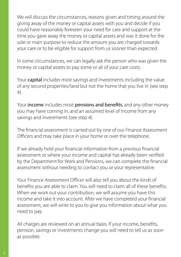We will discuss the circumstances, reasons given and timing around the giving away of the money or capital assets with you and decide if you could have reasonably foreseen your need for care and support at the time you gave away the money or capital assets and was it done for the sole or main purpose to reduce the amount you are charged towards your care or to be eligible for support from us sooner than expected.

In some circumstances, we can legally ask the person who was given the money or capital assets to pay some or all of your care costs.

Your capital includes most savings and investments including the value of any second properties/land but not the home that you live in (see step 4).

Your income includes most pensions and benefits, and any other money you may have coming in, and an assumed level of income from any savings and investments (see step 4).

The financial assessment is carried out by one of our Finance Assessment Officers and may take place in your home or over the telephone.

If we already hold your financial information from a previous financial assessment or where your income and capital has already been verified by the Department for Work and Pensions, we can complete the financial assessment without needing to contact you or your representative.

Your Finance Assessment Officer will also tell you about the kinds of benefits you are able to claim. You will need to claim all of these benefits. When we work out your contribution, we will assume you have this income and take it into account. After we have completed your financial assessment, we will write to you to give you information about what you need to pay.

All charges are reviewed on an annual basis. If your income, benefits, pension, savings or investments change you will need to tell us as soon as possible.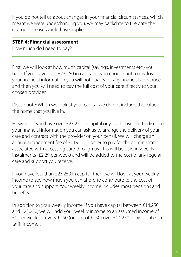If you do not tell us about changes in your financial circumstances, which meant we were undercharging you, we may backdate to the date the charge increase would have applied.

#### **STEP 4: Financial assessment**

How much do I need to pay?

First, we will look at how much capital (savings, investments etc.) you have. If you have over £23,250 in capital or you choose not to disclose your financial information you will not qualify for any financial assistance and then you will need to pay the full cost of your care directly to your chosen provider.

Please note: When we look at your capital we do not include the value of the home that you live in.

However, if you have over £23,250 in capital or you choose not to disclose your financial information you can ask us to arrange the delivery of your care and contract with the provider on your behalf. We will charge an annual arrangement fee of £119.51 in order to pay for the administration associated with accessing care through us. This will be paid in weekly instalments (£2.29 per week) and will be added to the cost of any regular care and support you receive.

If you have less than £23,250 in capital, then we will look at your weekly income to see how much you can afford to contribute to the cost of your care and support. Your weekly income includes most pensions and benefits.

In addition to your weekly income, if you have capital between £14,250 and £23,250, we will add your weekly income to an assumed income of £1 per week for every £250 (or part of £250) over £14,250. (This is called a tariff income).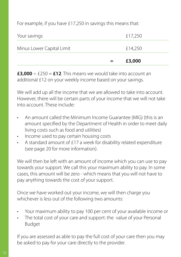For example, if you have £17,250 in savings this means that:

|                           | £3,000  |
|---------------------------|---------|
| Minus Lower Capital Limit | £14,250 |
| Your savings              | £17,250 |

 $\textbf{\texttt{13.000}} \div \text{£}250 = \textbf{\texttt{112}}$ . This means we would take into account an additional £12 on your weekly income based on your savings.

We will add up all the income that we are allowed to take into account. However, there will be certain parts of your income that we will not take into account. These include:

- An amount called the Minimum Income Guarantee (MIG) (this is an amount specified by the Department of Health in order to meet daily living costs such as food and utilities)
- Income used to pay certain housing costs
- A standard amount of £17 a week for disability related expenditure (see page 20 for more information).

We will then be left with an amount of income which you can use to pay towards your support. We call this your maximum ability to pay. In some cases, this amount will be zero - which means that you will not have to pay anything towards the cost of your support.

Once we have worked out your income, we will then charge you whichever is less out of the following two amounts:

- Your maximum ability to pay 100 per cent of your available income or
- The total cost of your care and support: the value of your Personal Budget

If you are assessed as able to pay the full cost of your care then you may be asked to pay for your care directly to the provider.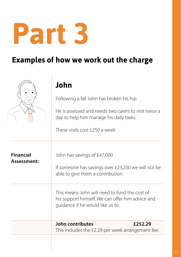l,

### **Examples of how we work out the charge**

|                                 | John                                                                                                                                  |
|---------------------------------|---------------------------------------------------------------------------------------------------------------------------------------|
|                                 | Following a fall John has broken his hip.                                                                                             |
|                                 | He is assessed and needs two carers to visit twice a<br>day to help him manage his daily tasks.                                       |
|                                 | These visits cost £250 a week                                                                                                         |
| <b>Financial</b><br>Assessment: | John has savings of £47,000<br>If someone has savings over £23,250 we will not be<br>able to give them a contribution.                |
|                                 | This means John will need to fund the cost of<br>his support himself. We can offer him advice and<br>guidance if he would like us to. |
|                                 | John contributes<br>£252.29<br>This includes the £2.29 per week arrangement fee.                                                      |
|                                 |                                                                                                                                       |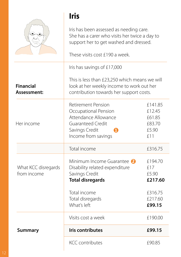|                                    | <b>Iris</b>                                                                                                                                         |                                                       |  |
|------------------------------------|-----------------------------------------------------------------------------------------------------------------------------------------------------|-------------------------------------------------------|--|
|                                    | Iris has been assessed as needing care.<br>She has a carer who visits her twice a day to<br>support her to get washed and dressed.                  |                                                       |  |
|                                    | These visits cost £190 a week.                                                                                                                      |                                                       |  |
|                                    | Iris has savings of £17,000                                                                                                                         |                                                       |  |
| <b>Financial</b><br>Assessment:    | This is less than £23,250 which means we will<br>look at her weekly income to work out her<br>contribution towards her support costs.               |                                                       |  |
| Her income                         | <b>Retirement Pension</b><br>Occupational Pension<br>Attendance Allowance<br><b>Guaranteed Credit</b><br>Savings Credit<br>П<br>Income from savings | £141.85<br>£12.45<br>£61.85<br>£83.70<br>£5.90<br>£11 |  |
|                                    | Total income                                                                                                                                        | £316.75                                               |  |
| What KCC disregards<br>from income | Minimum Income Guarantee 2<br>Disability related expenditure<br>Savings Credit<br><b>Total disregards</b>                                           | £194.70<br>£17<br>£5.90<br>£217.60                    |  |
|                                    | Total income<br>Total disregards<br>What's left                                                                                                     | £316.75<br>£217.60<br>£99.15                          |  |
|                                    | Visits cost a week                                                                                                                                  | £190.00                                               |  |
| <b>Summary</b>                     | <b>Iris contributes</b>                                                                                                                             | £99.15                                                |  |
|                                    | <b>KCC</b> contributes                                                                                                                              | £90.85                                                |  |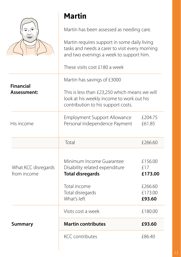|                                    | <b>Martin</b>                                                                                                                             |                                      |
|------------------------------------|-------------------------------------------------------------------------------------------------------------------------------------------|--------------------------------------|
|                                    | Martin has been assessed as needing care.                                                                                                 |                                      |
|                                    | Martin requires support in some daily living<br>tasks and needs a carer to visit every morning<br>and two evenings a week to support him. |                                      |
|                                    | These visits cost £180 a week                                                                                                             |                                      |
| <b>Financial</b>                   | Martin has savings of £3000                                                                                                               |                                      |
| Assessment:                        | This is less than £23,250 which means we will<br>look at his weekly income to work out his<br>contribution to his support costs.          |                                      |
| His income                         | <b>Employment Support Allowance</b><br>Personal Independence Payment                                                                      | £204.75<br>£61.85                    |
|                                    | Total                                                                                                                                     | £266.60                              |
| What KCC disregards<br>from income | Minimum Income Guarantee<br>Disability related expenditure<br><b>Total disregards</b><br>Total income                                     | £156.00<br>£17<br>£173.00<br>£266.60 |
|                                    | Total disregards<br>What's left                                                                                                           | £173.00<br>£93.60                    |
|                                    | Visits cost a week                                                                                                                        | £180.00                              |
| <b>Summary</b>                     | <b>Martin contributes</b>                                                                                                                 | £93.60                               |
|                                    | <b>KCC</b> contributes                                                                                                                    | £86.40                               |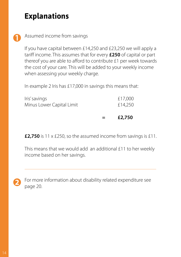### **Explanations**



Assumed income from savings

If you have capital between £14,250 and £23,250 we will apply a tariff income. This assumes that for every **£250** of capital or part thereof you are able to afford to contribute £1 per week towards the cost of your care. This will be added to your weekly income when assessing your weekly charge.

In example 2 Iris has £17,000 in savings this means that:

|                           | $\mathbf{r} = \mathbf{r}$ | £2,750  |
|---------------------------|---------------------------|---------|
| Minus Lower Capital Limit |                           | £14,250 |
| Iris' savings             |                           | £17,000 |

**£2,750** is 11 x £250, so the assumed income from savings is £11.

This means that we would add an additional £11 to her weekly income based on her savings.

For more information about disability related expenditure see page 20.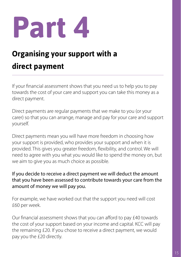## **Organising your support with a direct payment**

If your financial assessment shows that you need us to help you to pay towards the cost of your care and support you can take this money as a direct payment.

Direct payments are regular payments that we make to you (or your carer) so that you can arrange, manage and pay for your care and support yourself.

Direct payments mean you will have more freedom in choosing how your support is provided, who provides your support and when it is provided. This gives you greater freedom, flexibility, and control. We will need to agree with you what you would like to spend the money on, but we aim to give you as much choice as possible.

If you decide to receive a direct payment we will deduct the amount that you have been assessed to contribute towards your care from the amount of money we will pay you.

For example, we have worked out that the support you need will cost £60 per week.

Our financial assessment shows that you can afford to pay £40 towards the cost of your support based on your income and capital. KCC will pay the remaining £20. If you chose to receive a direct payment, we would pay you the £20 directly.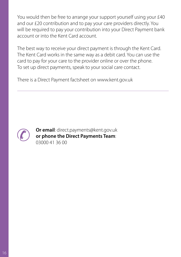You would then be free to arrange your support yourself using your £40 and our £20 contribution and to pay your care providers directly. You will be required to pay your contribution into your Direct Payment bank account or into the Kent Card account.

The best way to receive your direct payment is through the Kent Card. The Kent Card works in the same way as a debit card. You can use the card to pay for your care to the provider online or over the phone. To set up direct payments, speak to your social care contact.

There is a Direct Payment factsheet on www.kent.gov.uk



**Or email**: direct.payments@kent.gov.uk **or phone the Direct Payments Team**: 03000 41 36 00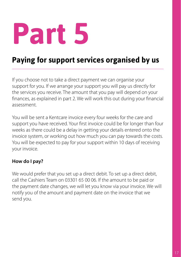### **Paying for support services organised by us**

If you choose not to take a direct payment we can organise your support for you. If we arrange your support you will pay us directly for the services you receive. The amount that you pay will depend on your finances, as explained in part 2. We will work this out during your financial assessment.

You will be sent a Kentcare invoice every four weeks for the care and support you have received. Your first invoice could be for longer than four weeks as there could be a delay in getting your details entered onto the invoice system, or working out how much you can pay towards the costs. You will be expected to pay for your support within 10 days of receiving your invoice.

#### **How do I pay?**

We would prefer that you set up a direct debit. To set up a direct debit, call the Cashiers Team on 03301 65 00 06. If the amount to be paid or the payment date changes, we will let you know via your invoice. We will notify you of the amount and payment date on the invoice that we send you.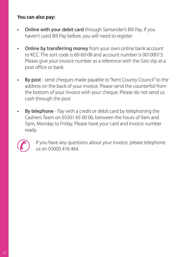#### **You can also pay:**

- Online with your debit card through Santander's Bill Pay. If you haven't used Bill Pay before, you will need to register
- Online by transferring money from your own online bank account to KCC. The sort code is 60-60-08 and account number is 00100013. Please give your invoice number as a reference with the Giro slip at a post office or bank
- By post send cheques made payable to "Kent County Council" to the address on the back of your invoice. Please send the counterfoil from the bottom of your invoice with your cheque. Please do not send us cash through the post
- By telephone Pay with a credit or debit card by telephoning the Cashiers Team on 03301 65 00 06, between the hours of 9am and 5pm, Monday to Friday. Please have your card and invoice number ready.



If you have any questions about your invoice, please telephone us on 03000 416 464.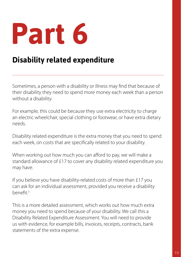### **Disability related expenditure**

Sometimes, a person with a disability or illness may find that because of their disability they need to spend more money each week than a person without a disability.

For example, this could be because they use extra electricity to charge an electric wheelchair, special clothing or footwear, or have extra dietary needs.

Disability related expenditure is the extra money that you need to spend each week, on costs that are specifically related to your disability.

When working out how much you can afford to pay, we will make a standard allowance of £17 to cover any disability related expenditure you may have.

If you believe you have disability-related costs of more than £17 you can ask for an individual assessment, provided you receive a disability benefit.5

This is a more detailed assessment, which works out how much extra money you need to spend because of your disability. We call this a Disability Related Expenditure Assessment. You will need to provide us with evidence, for example bills, invoices, receipts, contracts, bank statements of the extra expense.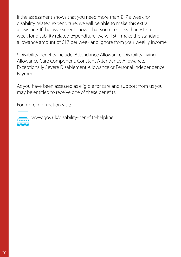If the assessment shows that you need more than £17 a week for disability related expenditure, we will be able to make this extra allowance. If the assessment shows that you need less than £17 a week for disability related expenditure, we will still make the standard allowance amount of £17 per week and ignore from your weekly income.

<sup>5</sup> Disability benefits include: Attendance Allowance, Disability Living Allowance Care Component, Constant Attendance Allowance, Exceptionally Severe Disablement Allowance or Personal Independence Payment.

As you have been assessed as eligible for care and support from us you may be entitled to receive one of these benefits.

For more information visit:



www.gov.uk/disability-benefits-helpline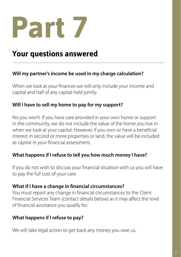

### **Your questions answered**

#### **Will my partner's income be used in my charge calculation?**

When we look at your finances we will only include your income and capital and half of any capital held jointly.

#### **Will I have to sell my home to pay for my support?**

No you won't. If you have care provided in your own home or support in the community, we do not include the value of the home you live in when we look at your capital. However, if you own or have a beneficial interest in second or more properties or land, the value will be included as capital in your financial assessment.

#### **What happens if I refuse to tell you how much money I have?**

If you do not wish to discuss your financial situation with us you will have to pay the full cost of your care.

#### **What if I have a change in financial circumstances?**

You must report any change in financial circumstances to the Client Financial Services Team (contact details below) as it may affect the level of financial assistance you qualify for.

#### **What happens if I refuse to pay?**

We will take legal action to get back any money you owe us.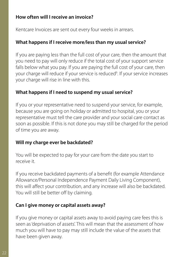#### **How often will I receive an invoice?**

Kentcare Invoices are sent out every four weeks in arrears.

#### **What happens if I receive more/less than my usual service?**

If you are paying less than the full cost of your care, then the amount that you need to pay will only reduce if the total cost of your support service falls below what you pay. If you are paying the full cost of your care, then your charge will reduce if your service is reduced<sup>6</sup>. If your service increases your charge will rise in line with this.

#### **What happens if I need to suspend my usual service?**

If you or your representative need to suspend your service, for example, because you are going on holiday or admitted to hospital, you or your representative must tell the care provider and your social care contact as soon as possible. If this is not done you may still be charged for the period of time you are away.

#### **Will my charge ever be backdated?**

You will be expected to pay for your care from the date you start to receive it.

If you receive backdated payments of a benefit (for example Attendance Allowance/Personal Independence Payment Daily Living Component), this will affect your contribution, and any increase will also be backdated. You will still be better off by claiming.

#### **Can I give money or capital assets away?**

If you give money or capital assets away to avoid paying care fees this is seen as 'deprivation of assets'. This will mean that the assessment of how much you will have to pay may still include the value of the assets that have been given away.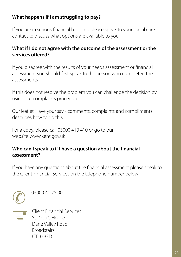#### **What happens if I am struggling to pay?**

If you are in serious financial hardship please speak to your social care contact to discuss what options are available to you.

#### **What if I do not agree with the outcome of the assessment or the services offered?**

If you disagree with the results of your needs assessment or financial assessment you should first speak to the person who completed the assessments.

If this does not resolve the problem you can challenge the decision by using our complaints procedure.

Our leaflet 'Have your say - comments, complaints and compliments' describes how to do this.

For a copy, please call 03000 410 410 or go to our website www.kent.gov.uk

#### **Who can I speak to if I have a question about the financial assessment?**

If you have any questions about the financial assessment please speak to the Client Financial Services on the telephone number below:



03000 41 28 00



Client Financial Services St Peter's House Dane Valley Road **Broadstairs** CT10 3FD